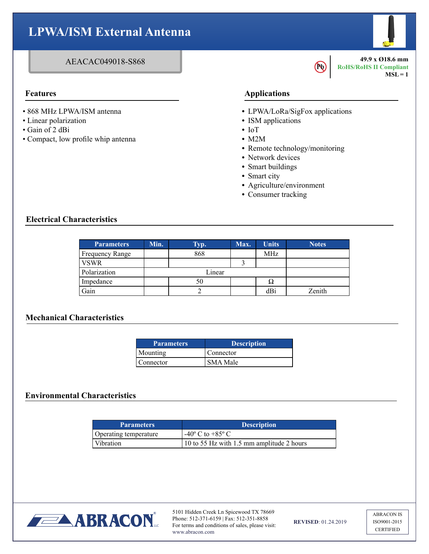# **LPWA/ISM External Antenna**

#### AEACAC049018-S868

- 868 MHz LPWA/ISM antenna
- Linear polarization
- Gain of 2 dBi
- Compact, low profile whip antenna

## **Features Applications**

**•** LPWA/LoRa/SigFox applications

**Pb** 

**49.9 x Ø18.6 mm RoHS/RoHS II Compliant**

 $MSL = 1$ 

- **•** ISM applications
- **•** IoT
- **•** M2M
- **•** Remote technology/monitoring
- **•** Network devices
- **•** Smart buildings
- **•** Smart city
- **•** Agriculture/environment
- **•** Consumer tracking

#### **Electrical Characteristics**

| <b>Parameters</b> | Min.   | Typ. | Max. | <b>Units</b> | <b>Notes</b> |
|-------------------|--------|------|------|--------------|--------------|
| Frequency Range   |        | 868  |      | MHz          |              |
| VSWR              |        |      |      |              |              |
| Polarization      | Linear |      |      |              |              |
| Impedance         |        | 50   |      | $\Omega$     |              |
| Gain              |        |      |      | dBi          | Zenith       |

## **Mechanical Characteristics**

| <b>Parameters</b> | <b>Description</b> |
|-------------------|--------------------|
| Mounting          | Connector          |
| Connector         | SMA Male           |

#### **Environmental Characteristics**

| <b>Parameters</b>     | <b>Description</b>                        |
|-----------------------|-------------------------------------------|
| Operating temperature | $-40^{\circ}$ C to $+85^{\circ}$ C        |
| Vibration             | 10 to 55 Hz with 1.5 mm amplitude 2 hours |



5101 Hidden Creek Ln Spicewood TX 78669 Phone: 512-371-6159 | Fax: 512-351-8858 For terms and conditions of sales, please visit: www.abracon.com

**REVISED**: 01.24.2019

ABRACON IS ISO9001-2015 CERTIFIED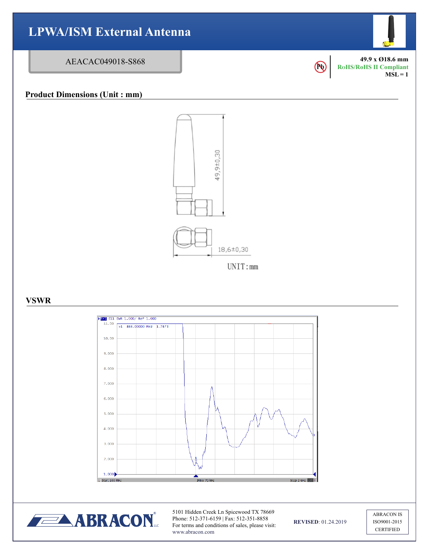



5101 Hidden Creek Ln Spicewood TX 78669 Phone: 512-371-6159 | Fax: 512-351-8858 For terms and conditions of sales, please visit: www.abracon.com

**REVISED**: 01.24.2019

ABRACON IS ISO9001-2015 CERTIFIED